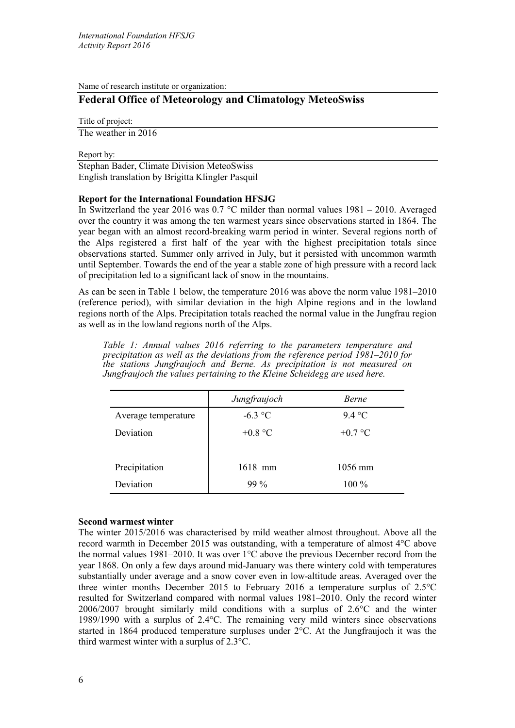Name of research institute or organization:

# **Federal Office of Meteorology and Climatology MeteoSwiss**

Title of project:

The weather in 2016

Report by:

Stephan Bader, Climate Division MeteoSwiss English translation by Brigitta Klingler Pasquil

# **Report for the International Foundation HFSJG**

In Switzerland the year 2016 was 0.7 °C milder than normal values 1981 – 2010. Averaged over the country it was among the ten warmest years since observations started in 1864. The year began with an almost record-breaking warm period in winter. Several regions north of the Alps registered a first half of the year with the highest precipitation totals since observations started. Summer only arrived in July, but it persisted with uncommon warmth until September. Towards the end of the year a stable zone of high pressure with a record lack of precipitation led to a significant lack of snow in the mountains.

As can be seen in Table 1 below, the temperature 2016 was above the norm value 1981–2010 (reference period), with similar deviation in the high Alpine regions and in the lowland regions north of the Alps. Precipitation totals reached the normal value in the Jungfrau region as well as in the lowland regions north of the Alps.

*Table 1: Annual values 2016 referring to the parameters temperature and precipitation as well as the deviations from the reference period 1981‒2010 for the stations Jungfraujoch and Berne. As precipitation is not measured on Jungfraujoch the values pertaining to the Kleine Scheidegg are used here.*

|                     | Jungfraujoch | Berne     |
|---------------------|--------------|-----------|
| Average temperature | $-6.3$ °C    | 9.4 °C    |
| Deviation           | $+0.8$ °C    | $+0.7$ °C |
|                     |              |           |
| Precipitation       | 1618 mm      | 1056 mm   |
| Deviation           | $99\%$       | 100 %     |

# **Second warmest winter**

The winter 2015/2016 was characterised by mild weather almost throughout. Above all the record warmth in December 2015 was outstanding, with a temperature of almost 4°C above the normal values 1981–2010. It was over 1°C above the previous December record from the year 1868. On only a few days around mid-January was there wintery cold with temperatures substantially under average and a snow cover even in low-altitude areas. Averaged over the three winter months December 2015 to February 2016 a temperature surplus of 2.5°C resulted for Switzerland compared with normal values 1981–2010. Only the record winter 2006/2007 brought similarly mild conditions with a surplus of 2.6°C and the winter 1989/1990 with a surplus of 2.4°C. The remaining very mild winters since observations started in 1864 produced temperature surpluses under 2°C. At the Jungfraujoch it was the third warmest winter with a surplus of 2.3°C.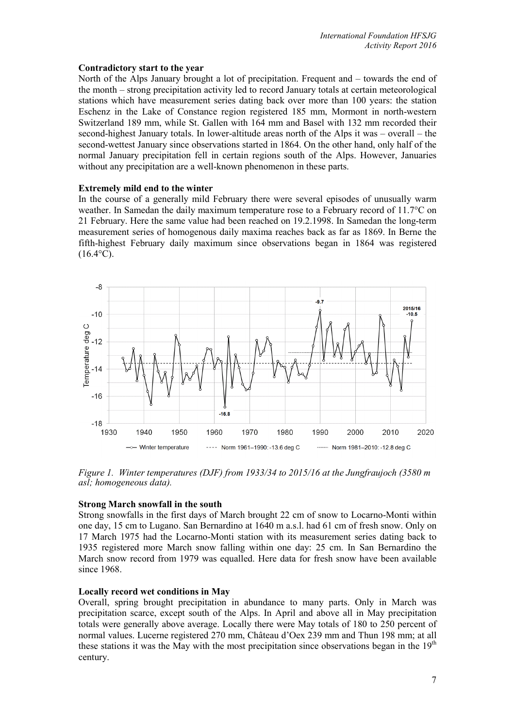#### **Contradictory start to the year**

North of the Alps January brought a lot of precipitation. Frequent and – towards the end of the month – strong precipitation activity led to record January totals at certain meteorological stations which have measurement series dating back over more than 100 years: the station Eschenz in the Lake of Constance region registered 185 mm, Mormont in north-western Switzerland 189 mm, while St. Gallen with 164 mm and Basel with 132 mm recorded their second-highest January totals. In lower-altitude areas north of the Alps it was – overall – the second-wettest January since observations started in 1864. On the other hand, only half of the normal January precipitation fell in certain regions south of the Alps. However, Januaries without any precipitation are a well-known phenomenon in these parts.

# **Extremely mild end to the winter**

In the course of a generally mild February there were several episodes of unusually warm weather. In Samedan the daily maximum temperature rose to a February record of 11.7<sup>o</sup>C on 21 February. Here the same value had been reached on 19.2.1998. In Samedan the long-term measurement series of homogenous daily maxima reaches back as far as 1869. In Berne the fifth-highest February daily maximum since observations began in 1864 was registered  $(16.4^{\circ}C).$ 



*Figure 1. Winter temperatures (DJF) from 1933/34 to 2015/16 at the Jungfraujoch (3580 m asl; homogeneous data).*

# **Strong March snowfall in the south**

Strong snowfalls in the first days of March brought 22 cm of snow to Locarno-Monti within one day, 15 cm to Lugano. San Bernardino at 1640 m a.s.l. had 61 cm of fresh snow. Only on 17 March 1975 had the Locarno-Monti station with its measurement series dating back to 1935 registered more March snow falling within one day: 25 cm. In San Bernardino the March snow record from 1979 was equalled. Here data for fresh snow have been available since 1968.

# **Locally record wet conditions in May**

Overall, spring brought precipitation in abundance to many parts. Only in March was precipitation scarce, except south of the Alps. In April and above all in May precipitation totals were generally above average. Locally there were May totals of 180 to 250 percent of normal values. Lucerne registered 270 mm, Château d'Oex 239 mm and Thun 198 mm; at all these stations it was the May with the most precipitation since observations began in the  $19<sup>th</sup>$ century.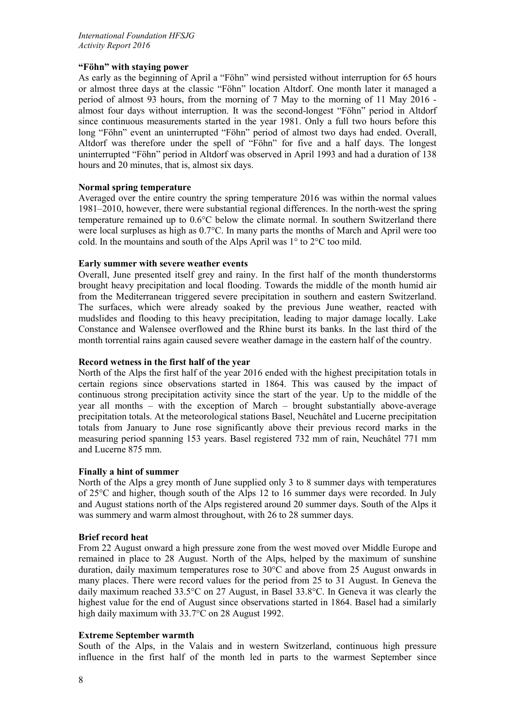# **"Föhn" with staying power**

As early as the beginning of April a "Föhn" wind persisted without interruption for 65 hours or almost three days at the classic "Föhn" location Altdorf. One month later it managed a period of almost 93 hours, from the morning of 7 May to the morning of 11 May 2016 almost four days without interruption. It was the second-longest "Föhn" period in Altdorf since continuous measurements started in the year 1981. Only a full two hours before this long "Föhn" event an uninterrupted "Föhn" period of almost two days had ended. Overall, Altdorf was therefore under the spell of "Föhn" for five and a half days. The longest uninterrupted "Föhn" period in Altdorf was observed in April 1993 and had a duration of 138 hours and 20 minutes, that is, almost six days.

### **Normal spring temperature**

Averaged over the entire country the spring temperature 2016 was within the normal values 1981–2010, however, there were substantial regional differences. In the north-west the spring temperature remained up to 0.6°C below the climate normal. In southern Switzerland there were local surpluses as high as 0.7°C. In many parts the months of March and April were too cold. In the mountains and south of the Alps April was 1° to 2°C too mild.

#### **Early summer with severe weather events**

Overall, June presented itself grey and rainy. In the first half of the month thunderstorms brought heavy precipitation and local flooding. Towards the middle of the month humid air from the Mediterranean triggered severe precipitation in southern and eastern Switzerland. The surfaces, which were already soaked by the previous June weather, reacted with mudslides and flooding to this heavy precipitation, leading to major damage locally. Lake Constance and Walensee overflowed and the Rhine burst its banks. In the last third of the month torrential rains again caused severe weather damage in the eastern half of the country.

### **Record wetness in the first half of the year**

North of the Alps the first half of the year 2016 ended with the highest precipitation totals in certain regions since observations started in 1864. This was caused by the impact of continuous strong precipitation activity since the start of the year. Up to the middle of the year all months – with the exception of March – brought substantially above-average precipitation totals. At the meteorological stations Basel, Neuchâtel and Lucerne precipitation totals from January to June rose significantly above their previous record marks in the measuring period spanning 153 years. Basel registered 732 mm of rain, Neuchâtel 771 mm and Lucerne 875 mm.

# **Finally a hint of summer**

North of the Alps a grey month of June supplied only 3 to 8 summer days with temperatures of 25°C and higher, though south of the Alps 12 to 16 summer days were recorded. In July and August stations north of the Alps registered around 20 summer days. South of the Alps it was summery and warm almost throughout, with 26 to 28 summer days.

# **Brief record heat**

From 22 August onward a high pressure zone from the west moved over Middle Europe and remained in place to 28 August. North of the Alps, helped by the maximum of sunshine duration, daily maximum temperatures rose to 30°C and above from 25 August onwards in many places. There were record values for the period from 25 to 31 August. In Geneva the daily maximum reached 33.5°C on 27 August, in Basel 33.8°C. In Geneva it was clearly the highest value for the end of August since observations started in 1864. Basel had a similarly high daily maximum with 33.7°C on 28 August 1992.

# **Extreme September warmth**

South of the Alps, in the Valais and in western Switzerland, continuous high pressure influence in the first half of the month led in parts to the warmest September since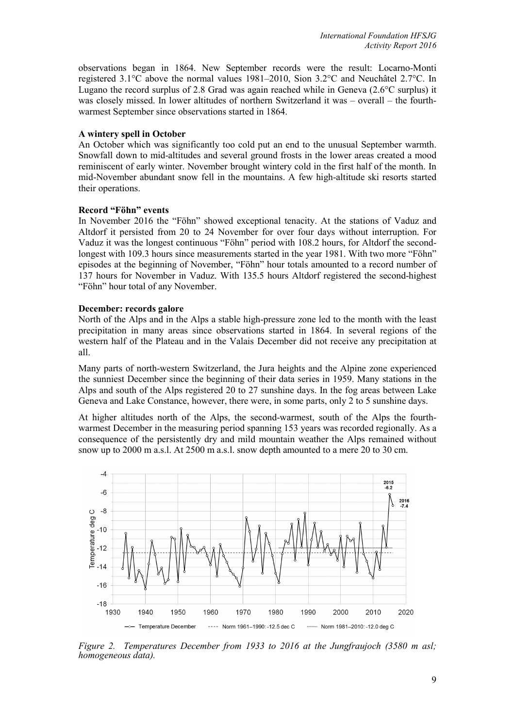observations began in 1864. New September records were the result: Locarno-Monti registered 3.1°C above the normal values 1981–2010, Sion 3.2°C and Neuchâtel 2.7°C. In Lugano the record surplus of 2.8 Grad was again reached while in Geneva (2.6°C surplus) it was closely missed. In lower altitudes of northern Switzerland it was – overall – the fourthwarmest September since observations started in 1864.

### **A wintery spell in October**

An October which was significantly too cold put an end to the unusual September warmth. Snowfall down to mid-altitudes and several ground frosts in the lower areas created a mood reminiscent of early winter. November brought wintery cold in the first half of the month. In mid-November abundant snow fell in the mountains. A few high-altitude ski resorts started their operations.

#### **Record "Föhn" events**

In November 2016 the "Föhn" showed exceptional tenacity. At the stations of Vaduz and Altdorf it persisted from 20 to 24 November for over four days without interruption. For Vaduz it was the longest continuous "Föhn" period with 108.2 hours, for Altdorf the secondlongest with 109.3 hours since measurements started in the year 1981. With two more "Föhn" episodes at the beginning of November, "Föhn" hour totals amounted to a record number of 137 hours for November in Vaduz. With 135.5 hours Altdorf registered the second-highest "Föhn" hour total of any November.

### **December: records galore**

North of the Alps and in the Alps a stable high-pressure zone led to the month with the least precipitation in many areas since observations started in 1864. In several regions of the western half of the Plateau and in the Valais December did not receive any precipitation at all.

Many parts of north-western Switzerland, the Jura heights and the Alpine zone experienced the sunniest December since the beginning of their data series in 1959. Many stations in the Alps and south of the Alps registered 20 to 27 sunshine days. In the fog areas between Lake Geneva and Lake Constance, however, there were, in some parts, only 2 to 5 sunshine days.

At higher altitudes north of the Alps, the second-warmest, south of the Alps the fourthwarmest December in the measuring period spanning 153 years was recorded regionally. As a consequence of the persistently dry and mild mountain weather the Alps remained without snow up to 2000 m a.s.l. At 2500 m a.s.l. snow depth amounted to a mere 20 to 30 cm.



*Figure 2. Temperatures December from 1933 to 2016 at the Jungfraujoch (3580 m asl; homogeneous data).*